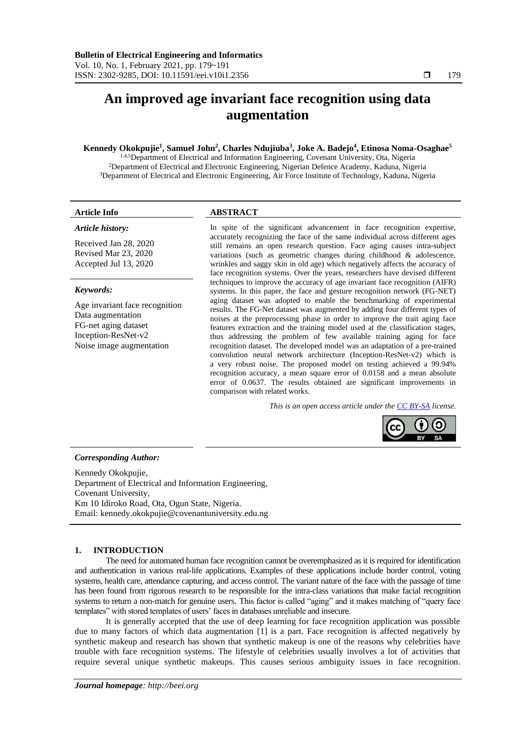# **An improved age invariant face recognition using data augmentation**

# **Kennedy Okokpujie<sup>1</sup> , Samuel John<sup>2</sup> , Charles Ndujiuba<sup>3</sup> , Joke A. Badejo<sup>4</sup> , Etinosa Noma-Osaghae<sup>5</sup>**

1,4,5Department of Electrical and Information Engineering, Covenant University, Ota, Nigeria <sup>2</sup>Department of Electrical and Electronic Engineering, Nigerian Defence Academy, Kaduna, Nigeria <sup>3</sup>Department of Electrical and Electronic Engineering, Air Force Institute of Technology, Kaduna, Nigeria

# *Article history:*

Received Jan 28, 2020 Revised Mar 23, 2020 Accepted Jul 13, 2020

# *Keywords:*

Age invariant face recognition Data augmentation FG-net aging dataset Inception-ResNet-v2 Noise image augmentation

# **Article Info ABSTRACT**

In spite of the significant advancement in face recognition expertise, accurately recognizing the face of the same individual across different ages still remains an open research question. Face aging causes intra-subject variations (such as geometric changes during childhood & adolescence, wrinkles and saggy skin in old age) which negatively affects the accuracy of face recognition systems. Over the years, researchers have devised different techniques to improve the accuracy of age invariant face recognition (AIFR) systems. In this paper, the face and gesture recognition network (FG-NET) aging dataset was adopted to enable the benchmarking of experimental results. The FG-Net dataset was augmented by adding four different types of noises at the preprocessing phase in order to improve the trait aging face features extraction and the training model used at the classification stages, thus addressing the problem of few available training aging for face recognition dataset. The developed model was an adaptation of a pre-trained convolution neural network architecture (Inception-ResNet-v2) which is a very robust noise. The proposed model on testing achieved a 99.94% recognition accuracy, a mean square error of 0.0158 and a mean absolute error of 0.0637. The results obtained are significant improvements in comparison with related works.

*This is an open access article under the [CC BY-SA](https://creativecommons.org/licenses/by-sa/4.0/) license.*



# *Corresponding Author:*

Kennedy Okokpujie, Department of Electrical and Information Engineering, Covenant University, Km 10 Idiroko Road, Ota, Ogun State, Nigeria. Email: kennedy.okokpujie@covenantuniversity.edu.ng

# **1. INTRODUCTION**

The need for automated human face recognition cannot be overemphasized as it is required for identification and authentication in various real-life applications. Examples of these applications include border control, voting systems, health care, attendance capturing, and access control. The variant nature of the face with the passage of time has been found from rigorous research to be responsible for the intra-class variations that make facial recognition systems to return a non-match for genuine users. This factor is called "aging" and it makes matching of "query face templates" with stored templates of users' faces in databases unreliable and insecure.

It is generally accepted that the use of deep learning for face recognition application was possible due to many factors of which data augmentation [1] is a part. Face recognition is affected negatively by synthetic makeup and research has shown that synthetic makeup is one of the reasons why celebrities have trouble with face recognition systems. The lifestyle of celebrities usually involves a lot of activities that require several unique synthetic makeups. This causes serious ambiguity issues in face recognition.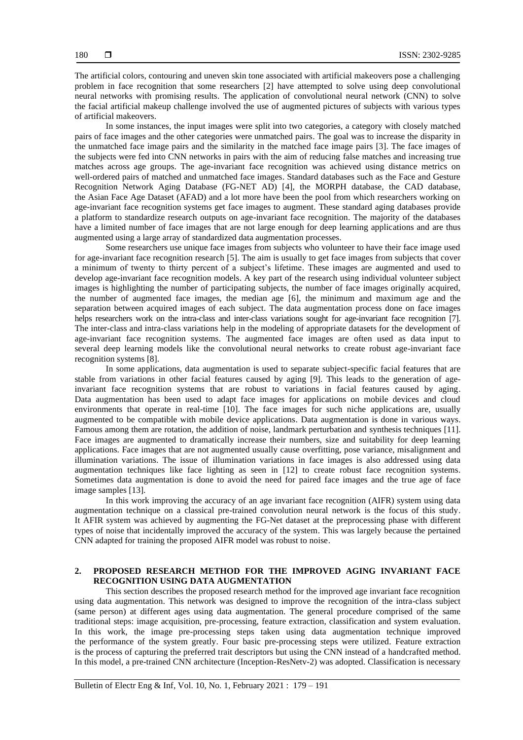The artificial colors, contouring and uneven skin tone associated with artificial makeovers pose a challenging problem in face recognition that some researchers [2] have attempted to solve using deep convolutional neural networks with promising results. The application of convolutional neural network (CNN) to solve the facial artificial makeup challenge involved the use of augmented pictures of subjects with various types of artificial makeovers.

In some instances, the input images were split into two categories, a category with closely matched pairs of face images and the other categories were unmatched pairs. The goal was to increase the disparity in the unmatched face image pairs and the similarity in the matched face image pairs [3]. The face images of the subjects were fed into CNN networks in pairs with the aim of reducing false matches and increasing true matches across age groups. The age-invariant face recognition was achieved using distance metrics on well-ordered pairs of matched and unmatched face images. Standard databases such as the Face and Gesture Recognition Network Aging Database (FG-NET AD) [4], the MORPH database, the CAD database, the Asian Face Age Dataset (AFAD) and a lot more have been the pool from which researchers working on age-invariant face recognition systems get face images to augment. These standard aging databases provide a platform to standardize research outputs on age-invariant face recognition. The majority of the databases have a limited number of face images that are not large enough for deep learning applications and are thus augmented using a large array of standardized data augmentation processes.

Some researchers use unique face images from subjects who volunteer to have their face image used for age-invariant face recognition research [5]. The aim is usually to get face images from subjects that cover a minimum of twenty to thirty percent of a subject's lifetime. These images are augmented and used to develop age-invariant face recognition models. A key part of the research using individual volunteer subject images is highlighting the number of participating subjects, the number of face images originally acquired, the number of augmented face images, the median age [6], the minimum and maximum age and the separation between acquired images of each subject. The data augmentation process done on face images helps researchers work on the intra-class and inter-class variations sought for age-invariant face recognition [7]. The inter-class and intra-class variations help in the modeling of appropriate datasets for the development of age-invariant face recognition systems. The augmented face images are often used as data input to several deep learning models like the convolutional neural networks to create robust age-invariant face recognition systems [8].

In some applications, data augmentation is used to separate subject-specific facial features that are stable from variations in other facial features caused by aging [9]. This leads to the generation of ageinvariant face recognition systems that are robust to variations in facial features caused by aging. Data augmentation has been used to adapt face images for applications on mobile devices and cloud environments that operate in real-time [10]. The face images for such niche applications are, usually augmented to be compatible with mobile device applications. Data augmentation is done in various ways. Famous among them are rotation, the addition of noise, landmark perturbation and synthesis techniques [11]. Face images are augmented to dramatically increase their numbers, size and suitability for deep learning applications. Face images that are not augmented usually cause overfitting, pose variance, misalignment and illumination variations. The issue of illumination variations in face images is also addressed using data augmentation techniques like face lighting as seen in [12] to create robust face recognition systems. Sometimes data augmentation is done to avoid the need for paired face images and the true age of face image samples [13].

In this work improving the accuracy of an age invariant face recognition (AIFR) system using data augmentation technique on a classical pre-trained convolution neural network is the focus of this study. It AFIR system was achieved by augmenting the FG-Net dataset at the preprocessing phase with different types of noise that incidentally improved the accuracy of the system. This was largely because the pertained CNN adapted for training the proposed AIFR model was robust to noise.

# **2. PROPOSED RESEARCH METHOD FOR THE IMPROVED AGING INVARIANT FACE RECOGNITION USING DATA AUGMENTATION**

This section describes the proposed research method for the improved age invariant face recognition using data augmentation. This network was designed to improve the recognition of the intra-class subject (same person) at different ages using data augmentation. The general procedure comprised of the same traditional steps: image acquisition, pre-processing, feature extraction, classification and system evaluation. In this work, the image pre-processing steps taken using data augmentation technique improved the performance of the system greatly. Four basic pre-processing steps were utilized. Feature extraction is the process of capturing the preferred trait descriptors but using the CNN instead of a handcrafted method. In this model, a pre-trained CNN architecture (Inception-ResNetv-2) was adopted. Classification is necessary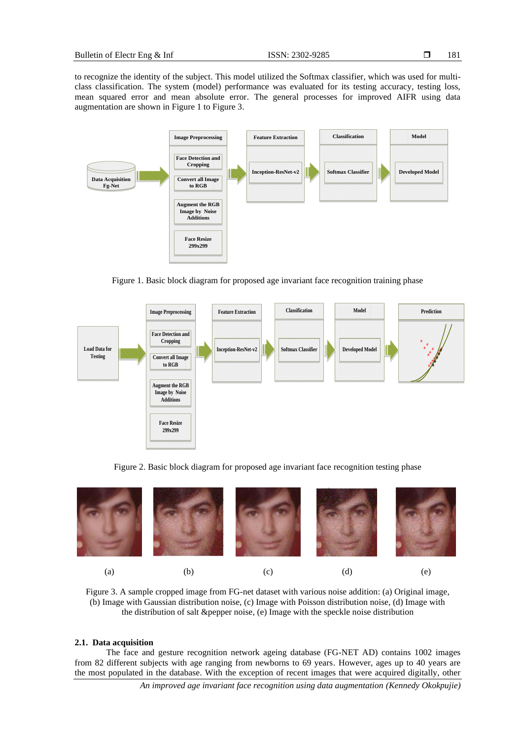to recognize the identity of the subject. This model utilized the Softmax classifier, which was used for multiclass classification. The system (model) performance was evaluated for its testing accuracy, testing loss, mean squared error and mean absolute error. The general processes for improved AIFR using data augmentation are shown in Figure 1 to Figure 3.



Figure 1. Basic block diagram for proposed age invariant face recognition training phase



Figure 2. Basic block diagram for proposed age invariant face recognition testing phase



Figure 3. A sample cropped image from FG-net dataset with various noise addition: (a) Original image, (b) Image with Gaussian distribution noise, (c) Image with Poisson distribution noise, (d) Image with the distribution of salt &pepper noise, (e) Image with the speckle noise distribution

#### **2.1. Data acquisition**

The face and gesture recognition network ageing database (FG-NET AD) contains 1002 images from 82 different subjects with age ranging from newborns to 69 years. However, ages up to 40 years are the most populated in the database. With the exception of recent images that were acquired digitally, other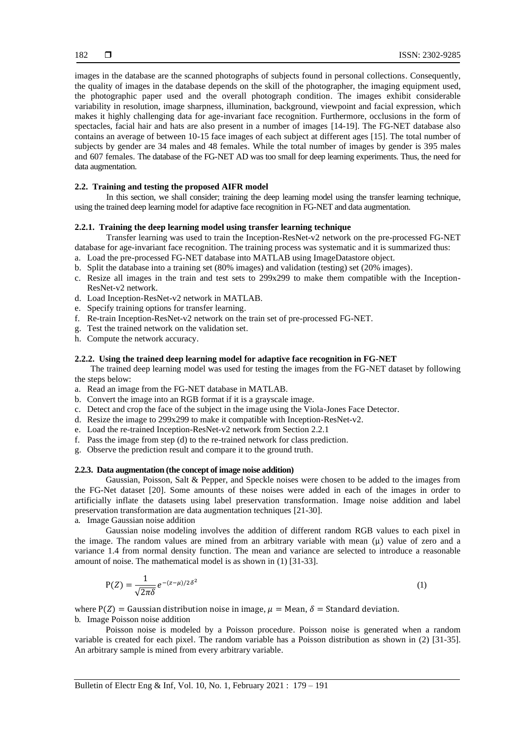images in the database are the scanned photographs of subjects found in personal collections. Consequently, the quality of images in the database depends on the skill of the photographer, the imaging equipment used, the photographic paper used and the overall photograph condition. The images exhibit considerable variability in resolution, image sharpness, illumination, background, viewpoint and facial expression, which makes it highly challenging data for age-invariant face recognition. Furthermore, occlusions in the form of spectacles, facial hair and hats are also present in a number of images [14-19]. The FG-NET database also contains an average of between 10-15 face images of each subject at different ages [15]. The total number of subjects by gender are 34 males and 48 females. While the total number of images by gender is 395 males and 607 females. The database of the FG-NET AD was too small for deep learning experiments. Thus, the need for data augmentation.

# **2.2. Training and testing the proposed AIFR model**

In this section, we shall consider; training the deep learning model using the transfer learning technique, using the trained deep learning model for adaptive face recognition in FG-NET and data augmentation.

# **2.2.1. Training the deep learning model using transfer learning technique**

Transfer learning was used to train the Inception-ResNet-v2 network on the pre-processed FG-NET database for age-invariant face recognition. The training process was systematic and it is summarized thus:

- a. Load the pre-processed FG-NET database into MATLAB using ImageDatastore object.
- b. Split the database into a training set (80% images) and validation (testing) set (20% images).
- c. Resize all images in the train and test sets to 299x299 to make them compatible with the Inception-ResNet-v2 network.
- d. Load Inception-ResNet-v2 network in MATLAB.
- e. Specify training options for transfer learning.
- f. Re-train Inception-ResNet-v2 network on the train set of pre-processed FG-NET.
- g. Test the trained network on the validation set.
- h. Compute the network accuracy.

#### **2.2.2. Using the trained deep learning model for adaptive face recognition in FG-NET**

The trained deep learning model was used for testing the images from the FG-NET dataset by following the steps below:

- a. Read an image from the FG-NET database in MATLAB.
- b. Convert the image into an RGB format if it is a grayscale image.
- c. Detect and crop the face of the subject in the image using the Viola-Jones Face Detector.
- d. Resize the image to 299x299 to make it compatible with Inception-ResNet-v2.
- e. Load the re-trained Inception-ResNet-v2 network from Section 2.2.1
- f. Pass the image from step (d) to the re-trained network for class prediction.
- g. Observe the prediction result and compare it to the ground truth.

#### **2.2.3. Data augmentation (the concept of image noise addition)**

Gaussian, Poisson, Salt & Pepper, and Speckle noises were chosen to be added to the images from the FG-Net dataset [20]. Some amounts of these noises were added in each of the images in order to artificially inflate the datasets using label preservation transformation. Image noise addition and label preservation transformation are data augmentation techniques [21-30].

# a. Image Gaussian noise addition

Gaussian noise modeling involves the addition of different random RGB values to each pixel in the image. The random values are mined from an arbitrary variable with mean  $(\mu)$  value of zero and a variance 1.4 from normal density function. The mean and variance are selected to introduce a reasonable amount of noise. The mathematical model is as shown in (1) [31-33].

$$
P(Z) = \frac{1}{\sqrt{2\pi\delta}} e^{-(z-\mu)/2\delta^2}
$$
 (1)

where  $P(Z) =$  Gaussian distribution noise in image,  $\mu =$  Mean,  $\delta =$  Standard deviation. b. Image Poisson noise addition

Poisson noise is modeled by a Poisson procedure. Poisson noise is generated when a random variable is created for each pixel. The random variable has a Poisson distribution as shown in (2) [31-35]. An arbitrary sample is mined from every arbitrary variable.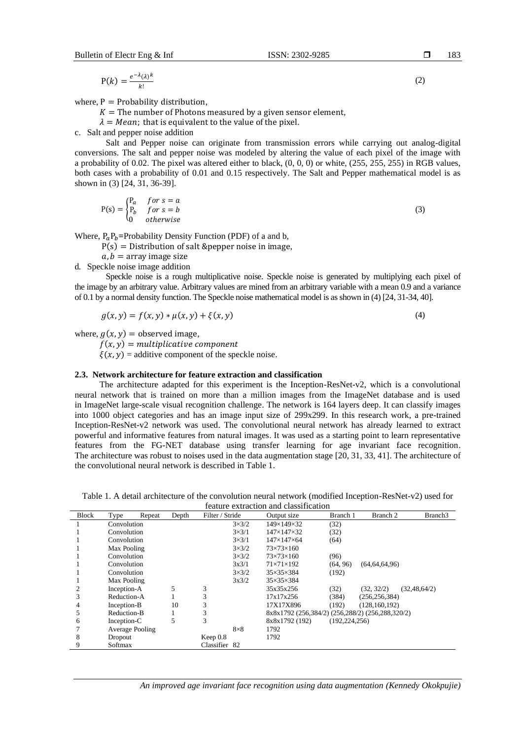$$
P(k) = \frac{e^{-\lambda}(\lambda)^k}{k!}
$$

where,  $P =$  Probability distribution,

 $K =$  The number of Photons measured by a given sensor element,

 $\lambda = Mean$ ; that is equivalent to the value of the pixel.

c. Salt and pepper noise addition

Salt and Pepper noise can originate from transmission errors while carrying out analog-digital conversions. The salt and pepper noise was modeled by altering the value of each pixel of the image with a probability of 0.02. The pixel was altered either to black,  $(0, 0, 0)$  or white,  $(255, 255, 255)$  in RGB values, both cases with a probability of 0.01 and 0.15 respectively. The Salt and Pepper mathematical model is as shown in (3) [24, 31, 36-39].

$$
P(s) = \begin{cases} P_a & \text{for } s = a \\ P_b & \text{for } s = b \\ 0 & \text{otherwise} \end{cases} \tag{3}
$$

Where,  $P_a P_b$ =Probability Density Function (PDF) of a and b,

 $P(s) =$  Distribution of salt & pepper noise in image,

 $a, b$  = array image size

d. Speckle noise image addition

Speckle noise is a rough multiplicative noise. Speckle noise is generated by multiplying each pixel of the image by an arbitrary value. Arbitrary values are mined from an arbitrary variable with a mean 0.9 and a variance of 0.1 by a normal density function. The Speckle noise mathematical model is as shown in (4) [24, 31-34, 40].

$$
g(x, y) = f(x, y) * \mu(x, y) + \xi(x, y)
$$
\n(4)

where,  $g(x, y) =$  observed image,

 $f(x, y) =$  multiplicative component

 $\xi(x, y)$  = additive component of the speckle noise.

# **2.3. Network architecture for feature extraction and classification**

The architecture adapted for this experiment is the Inception-ResNet-v2, which is a convolutional neural network that is trained on more than a million images from the ImageNet database and is used in ImageNet large-scale visual recognition challenge. The network is 164 layers deep. It can classify images into 1000 object categories and has an image input size of 299x299. In this research work, a pre-trained Inception-ResNet-v2 network was used. The convolutional neural network has already learned to extract powerful and informative features from natural images. It was used as a starting point to learn representative features from the FG-NET database using transfer learning for age invariant face recognition. The architecture was robust to noises used in the data augmentation stage [20, 31, 33, 41]. The architecture of the convolutional neural network is described in Table 1.

Table 1. A detail architecture of the convolution neural network (modified Inception-ResNet-v2) used for feature extraction and classification

|              |                 |        |       |                 |                       | Teatule extraction and classification            |                  |                 |                     |
|--------------|-----------------|--------|-------|-----------------|-----------------------|--------------------------------------------------|------------------|-----------------|---------------------|
| <b>Block</b> | Type            | Repeat | Depth | Filter / Stride |                       | Output size                                      | Branch 1         | Branch 2        | Branch <sub>3</sub> |
|              | Convolution     |        |       |                 | $3\times3/2$          | 149×149×32<br>(32)                               |                  |                 |                     |
|              | Convolution     |        |       |                 | $3\times3/1$          | $147\times147\times32$<br>(32)                   |                  |                 |                     |
|              | Convolution     |        |       |                 | $3\times3/1$          | $147\times147\times64$<br>(64)                   |                  |                 |                     |
|              | Max Pooling     |        |       | $3\times3/2$    | $73\times73\times160$ |                                                  |                  |                 |                     |
|              | Convolution     |        |       | $3\times3/2$    | $73\times73\times160$ | (96)                                             |                  |                 |                     |
|              | Convolution     |        |       | 3x3/1           | $71\times71\times192$ | (64, 96)                                         | (64, 64, 64, 96) |                 |                     |
|              | Convolution     |        |       |                 | $3\times3/2$          | $35\times35\times384$                            | (192)            |                 |                     |
|              | Max Pooling     |        |       |                 | 3x3/2                 | $35\times35\times384$                            |                  |                 |                     |
| 2            | Inception-A     |        | 5     | 3               |                       | 35x35x256                                        | (32)             | (32, 32/2)      | (32, 48, 64/2)      |
|              | Reduction-A     |        |       | 3               |                       | 17x17x256                                        | (384)            | (256, 256, 384) |                     |
| 4            | Inception-B     |        | 10    | 3               |                       | 17X17X896                                        | (192)            | (128, 160, 192) |                     |
| 5            | Reduction-B     |        |       | 3               |                       | 8x8x1792 (256,384/2) (256,288/2) (256,288,320/2) |                  |                 |                     |
| 6            | Inception-C     |        | 5     | 3               |                       | 8x8x1792 (192)                                   | (192, 224, 256)  |                 |                     |
|              | Average Pooling |        |       |                 | $8\times8$            | 1792                                             |                  |                 |                     |
| 8            | Dropout         |        |       | Keep $0.8$      |                       | 1792                                             |                  |                 |                     |
| 9            | Softmax         |        |       | Classifier 82   |                       |                                                  |                  |                 |                     |

*An improved age invariant face recognition using data augmentation (Kennedy Okokpujie)*

(2)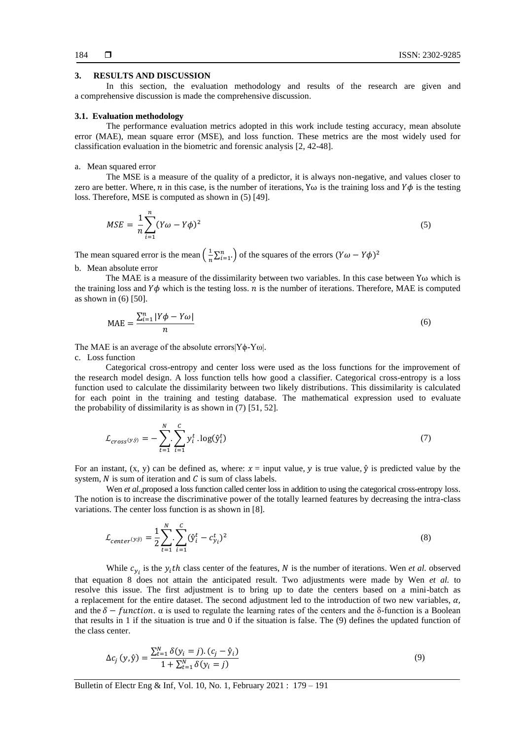#### **3. RESULTS AND DISCUSSION**

In this section, the evaluation methodology and results of the research are given and a comprehensive discussion is made the comprehensive discussion.

#### **3.1. Evaluation methodology**

The performance evaluation metrics adopted in this work include testing accuracy, mean absolute error (MAE), mean square error (MSE), and loss function. These metrics are the most widely used for classification evaluation in the biometric and forensic analysis [2, 42-48].

## a. Mean squared error

The MSE is a measure of the quality of a predictor, it is always non-negative, and values closer to zero are better. Where, *n* in this case, is the number of iterations, Y<sub>ω</sub> is the training loss and  $Y\phi$  is the testing loss. Therefore, MSE is computed as shown in (5) [49].

$$
MSE = \frac{1}{n} \sum_{i=1}^{n} (Y\omega - Y\phi)^2
$$
\n<sup>(5)</sup>

The mean squared error is the mean  $\left(\frac{1}{n}\right)$  $\frac{1}{n}\sum_{i=1}^{n}$  of the squares of the errors  $(Y\omega - Y\phi)^2$ b. Mean absolute error

The MAE is a measure of the dissimilarity between two variables. In this case between Yω which is the training loss and  $Y\phi$  which is the testing loss. *n* is the number of iterations. Therefore, MAE is computed as shown in (6) [50].

$$
MAE = \frac{\sum_{i=1}^{n} |Y\phi - Y\omega|}{n}
$$
 (6)

The MAE is an average of the absolute errors $|Y\phi - Y\omega|$ .

c. Loss function

Categorical cross-entropy and center loss were used as the loss functions for the improvement of the research model design. A loss function tells how good a classifier. Categorical cross-entropy is a loss function used to calculate the dissimilarity between two likely distributions. This dissimilarity is calculated for each point in the training and testing database. The mathematical expression used to evaluate the probability of dissimilarity is as shown in (7) [51, 52].

$$
\mathcal{L}_{cross(y,\hat{y})} = -\sum_{t=1}^{N} \sum_{i=1}^{C} y_i^t \cdot \log(\hat{y}_i^t) \tag{7}
$$

For an instant,  $(x, y)$  can be defined as, where:  $x = input$  value, y is true value,  $\hat{y}$  is predicted value by the system,  $N$  is sum of iteration and  $C$  is sum of class labels.

Wen *et al.*,proposed a loss function called center loss in addition to using the categorical cross-entropy loss. The notion is to increase the discriminative power of the totally learned features by decreasing the intra-class variations. The center loss function is as shown in [8].

$$
\mathcal{L}_{center(y,j)} = \frac{1}{2} \sum_{t=1}^{N} \sum_{i=1}^{C} (\hat{y}_i^t - c_{y_i}^t)^2
$$
\n(8)

While  $c_{y_i}$  is the  $y_i$ th class center of the features, N is the number of iterations. Wen *et al.* observed that equation 8 does not attain the anticipated result. Two adjustments were made by Wen *et al.* to resolve this issue. The first adjustment is to bring up to date the centers based on a mini-batch as a replacement for the entire dataset. The second adjustment led to the introduction of two new variables,  $\alpha$ , and the  $\delta$  – function.  $\alpha$  is used to regulate the learning rates of the centers and the  $\delta$ -function is a Boolean that results in 1 if the situation is true and 0 if the situation is false. The (9) defines the updated function of the class center.

$$
\Delta c_j(y, \hat{y}) = \frac{\sum_{t=1}^{N} \delta(y_i = j) \cdot (c_j - \hat{y}_i)}{1 + \sum_{t=1}^{N} \delta(y_i = j)}
$$
(9)

Bulletin of Electr Eng & Inf, Vol. 10, No. 1, February 2021 : 179 – 191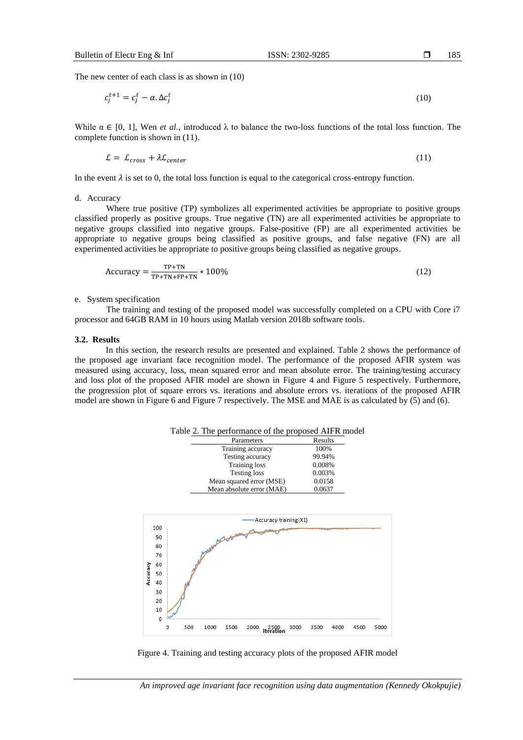The new center of each class is as shown in (10)

$$
c_j^{t+1} = c_j^t - \alpha \Delta c_j^t \tag{10}
$$

While  $\alpha \in [0, 1]$ , Wen *et al.*, introduced  $\lambda$  to balance the two-loss functions of the total loss function. The complete function is shown in (11).

$$
\mathcal{L} = \mathcal{L}_{cross} + \lambda \mathcal{L}_{center} \tag{11}
$$

In the event  $\lambda$  is set to 0, the total loss function is equal to the categorical cross-entropy function.

#### d. Accuracy

Where true positive (TP) symbolizes all experimented activities be appropriate to positive groups classified properly as positive groups. True negative (TN) are all experimented activities be appropriate to negative groups classified into negative groups. False-positive (FP) are all experimented activities be appropriate to negative groups being classified as positive groups, and false negative (FN) are all experimented activities be appropriate to positive groups being classified as negative groups.

$$
Accuracy = \frac{TP + TN}{TP + TN + FP + TN} * 100\% \tag{12}
$$

#### e. System specification

The training and testing of the proposed model was successfully completed on a CPU with Core i7 processor and 64GB RAM in 10 hours using Matlab version 2018b software tools.

#### **3.2. Results**

In this section, the research results are presented and explained. Table 2 shows the performance of the proposed age invariant face recognition model. The performance of the proposed AFIR system was measured using accuracy, loss, mean squared error and mean absolute error. The training/testing accuracy and loss plot of the proposed AFIR model are shown in Figure 4 and Figure 5 respectively. Furthermore, the progression plot of square errors vs. iterations and absolute errors vs. iterations of the proposed AFIR model are shown in Figure 6 and Figure 7 respectively. The MSE and MAE is as calculated by (5) and (6).



Figure 4. Training and testing accuracy plots of the proposed AFIR model

*An improved age invariant face recognition using data augmentation (Kennedy Okokpujie)*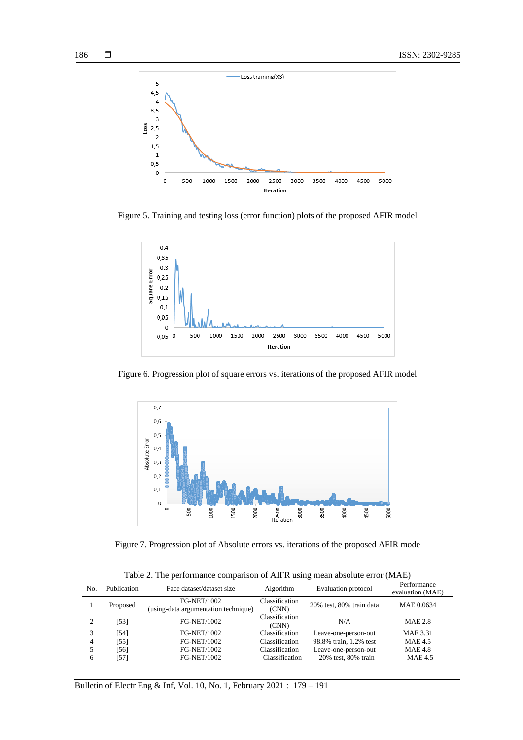

Figure 5. Training and testing loss (error function) plots of the proposed AFIR model



Figure 6. Progression plot of square errors vs. iterations of the proposed AFIR model



Figure 7. Progression plot of Absolute errors vs. iterations of the proposed AFIR mode

| Table 2. The performance comparison of AIFR using mean absolute error (MAE) |  |  |  |
|-----------------------------------------------------------------------------|--|--|--|
|                                                                             |  |  |  |

| No. | Publication | Face dataset/dataset size                                  | Algorithm               | Evaluation protocol      | Performance<br>evaluation (MAE) |
|-----|-------------|------------------------------------------------------------|-------------------------|--------------------------|---------------------------------|
|     | Proposed    | <b>FG-NET/1002</b><br>(using-data argumentation technique) | Classification<br>(CNN) | 20% test, 80% train data | MAE 0.0634                      |
|     | [53]        | <b>FG-NET/1002</b>                                         | Classification<br>(CNN) | N/A                      | <b>MAE 2.8</b>                  |
|     | [54]        | <b>FG-NET/1002</b>                                         | Classification          | Leave-one-person-out     | <b>MAE 3.31</b>                 |
| 4   | [55]        | <b>FG-NET/1002</b>                                         | Classification          | 98.8% train, 1.2% test   | <b>MAE 4.5</b>                  |
|     | [56]        | <b>FG-NET/1002</b>                                         | <b>Classification</b>   | Leave-one-person-out     | <b>MAE 4.8</b>                  |
| 6   | [57]        | <b>FG-NET/1002</b>                                         | Classification          | 20% test, 80% train      | <b>MAE 4.5</b>                  |

Bulletin of Electr Eng & Inf, Vol. 10, No. 1, February 2021 : 179 – 191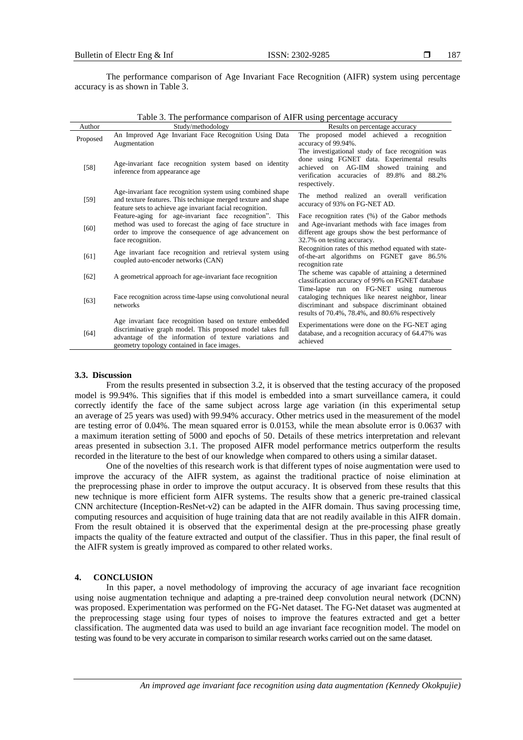187

The performance comparison of Age Invariant Face Recognition (AIFR) system using percentage accuracy is as shown in Table 3.

Table 3. The performance comparison of AIFR using percentage accuracy

| Author   | Study/methodology                                                                                                                                                                                                               | Results on percentage accuracy                                                                                                                                                                            |  |  |
|----------|---------------------------------------------------------------------------------------------------------------------------------------------------------------------------------------------------------------------------------|-----------------------------------------------------------------------------------------------------------------------------------------------------------------------------------------------------------|--|--|
| Proposed | An Improved Age Invariant Face Recognition Using Data<br>Augmentation                                                                                                                                                           | The proposed model achieved a recognition<br>accuracy of 99.94%.                                                                                                                                          |  |  |
| $[58]$   | Age-invariant face recognition system based on identity<br>inference from appearance age                                                                                                                                        | The investigational study of face recognition was<br>done using FGNET data. Experimental results<br>achieved on AG-IIM showed training and<br>verification accuracies of 89.8% and 88.2%<br>respectively. |  |  |
| [59]     | Age-invariant face recognition system using combined shape<br>and texture features. This technique merged texture and shape<br>feature sets to achieve age invariant facial recognition.                                        | The method realized an overall verification<br>accuracy of 93% on FG-NET AD.                                                                                                                              |  |  |
| [60]     | Feature-aging for age-invariant face recognition". This<br>method was used to forecast the aging of face structure in<br>order to improve the consequence of age advancement on<br>face recognition.                            | Face recognition rates (%) of the Gabor methods<br>and Age-invariant methods with face images from<br>different age groups show the best performance of<br>32.7% on testing accuracy.                     |  |  |
| [61]     | Age invariant face recognition and retrieval system using<br>coupled auto-encoder networks (CAN)                                                                                                                                | Recognition rates of this method equated with state-<br>of-the-art algorithms on FGNET gave 86.5%<br>recognition rate                                                                                     |  |  |
| [62]     | A geometrical approach for age-invariant face recognition                                                                                                                                                                       | The scheme was capable of attaining a determined<br>classification accuracy of 99% on FGNET database                                                                                                      |  |  |
| $[63]$   | Face recognition across time-lapse using convolutional neural<br>networks                                                                                                                                                       | Time-lapse run on FG-NET using numerous<br>cataloging techniques like nearest neighbor, linear<br>discriminant and subspace discriminant obtained<br>results of 70.4%, 78.4%, and 80.6% respectively      |  |  |
| [64]     | Age invariant face recognition based on texture embedded<br>discriminative graph model. This proposed model takes full<br>advantage of the information of texture variations and<br>geometry topology contained in face images. | Experimentations were done on the FG-NET aging<br>database, and a recognition accuracy of 64.47% was<br>achieved                                                                                          |  |  |

#### **3.3. Discussion**

From the results presented in subsection 3.2, it is observed that the testing accuracy of the proposed model is 99.94%. This signifies that if this model is embedded into a smart surveillance camera, it could correctly identify the face of the same subject across large age variation (in this experimental setup an average of 25 years was used) with 99.94% accuracy. Other metrics used in the measurement of the model are testing error of 0.04%. The mean squared error is 0.0153, while the mean absolute error is 0.0637 with a maximum iteration setting of 5000 and epochs of 50. Details of these metrics interpretation and relevant areas presented in subsection 3.1. The proposed AIFR model performance metrics outperform the results recorded in the literature to the best of our knowledge when compared to others using a similar dataset.

One of the novelties of this research work is that different types of noise augmentation were used to improve the accuracy of the AIFR system, as against the traditional practice of noise elimination at the preprocessing phase in order to improve the output accuracy. It is observed from these results that this new technique is more efficient form AIFR systems. The results show that a generic pre-trained classical CNN architecture (Inception-ResNet-v2) can be adapted in the AIFR domain. Thus saving processing time, computing resources and acquisition of huge training data that are not readily available in this AIFR domain. From the result obtained it is observed that the experimental design at the pre-processing phase greatly impacts the quality of the feature extracted and output of the classifier. Thus in this paper, the final result of the AIFR system is greatly improved as compared to other related works.

#### **4. CONCLUSION**

In this paper, a novel methodology of improving the accuracy of age invariant face recognition using noise augmentation technique and adapting a pre-trained deep convolution neural network (DCNN) was proposed. Experimentation was performed on the FG-Net dataset. The FG-Net dataset was augmented at the preprocessing stage using four types of noises to improve the features extracted and get a better classification. The augmented data was used to build an age invariant face recognition model. The model on testing was found to be very accurate in comparison to similar research works carried out on the same dataset.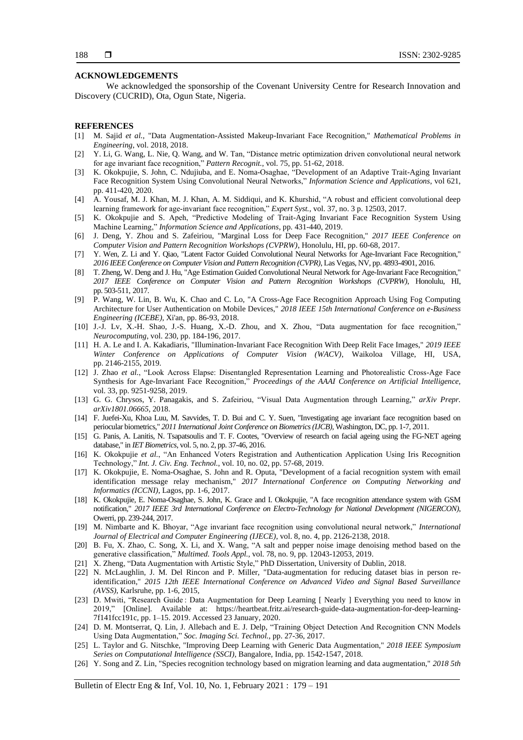#### **ACKNOWLEDGEMENTS**

We acknowledged the sponsorship of the Covenant University Centre for Research Innovation and Discovery (CUCRID), Ota, Ogun State, Nigeria.

# **REFERENCES**

- [1] M. Sajid *et al.*, "Data Augmentation-Assisted Makeup-Invariant Face Recognition," *Mathematical Problems in Engineering*, vol. 2018, 2018.
- [2] Y. Li, G. Wang, L. Nie, Q. Wang, and W. Tan, "Distance metric optimization driven convolutional neural network for age invariant face recognition," *Pattern Recognit.*, vol. 75, pp. 51-62, 2018.
- [3] K. Okokpujie, S. John, C. Ndujiuba, and E. Noma-Osaghae, "Development of an Adaptive Trait-Aging Invariant Face Recognition System Using Convolutional Neural Networks," *Information Science and Applications*, vol 621, pp. 411-420, 2020.
- [4] A. Yousaf, M. J. Khan, M. J. Khan, A. M. Siddiqui, and K. Khurshid, "A robust and efficient convolutional deep learning framework for age‐invariant face recognition," *Expert Syst.*, vol. 37, no. 3 p. 12503, 2017.
- [5] K. Okokpujie and S. Apeh, "Predictive Modeling of Trait-Aging Invariant Face Recognition System Using Machine Learning," *Information Science and Applications*, pp. 431-440, 2019.
- [6] J. Deng, Y. Zhou and S. Zafeiriou, "Marginal Loss for Deep Face Recognition," *2017 IEEE Conference on Computer Vision and Pattern Recognition Workshops (CVPRW)*, Honolulu, HI, pp. 60-68, 2017.
- [7] Y. Wen, Z. Li and Y. Qiao, "Latent Factor Guided Convolutional Neural Networks for Age-Invariant Face Recognition," *2016 IEEE Conference on Computer Vision and Pattern Recognition (CVPR)*, Las Vegas, NV, pp. 4893-4901, 2016.
- [8] T. Zheng, W. Deng and J. Hu, "Age Estimation Guided Convolutional Neural Network for Age-Invariant Face Recognition," *2017 IEEE Conference on Computer Vision and Pattern Recognition Workshops (CVPRW)*, Honolulu, HI, pp. 503-511, 2017.
- [9] P. Wang, W. Lin, B. Wu, K. Chao and C. Lo, "A Cross-Age Face Recognition Approach Using Fog Computing Architecture for User Authentication on Mobile Devices," *2018 IEEE 15th International Conference on e-Business Engineering (ICEBE)*, Xi'an, pp. 86-93, 2018.
- [10] J.-J. Lv, X.-H. Shao, J.-S. Huang, X.-D. Zhou, and X. Zhou, "Data augmentation for face recognition," *Neurocomputing*, vol. 230, pp. 184-196, 2017.
- [11] H. A. Le and I. A. Kakadiaris, "Illumination-Invariant Face Recognition With Deep Relit Face Images," *2019 IEEE Winter Conference on Applications of Computer Vision (WACV)*, Waikoloa Village, HI, USA, pp. 2146-2155, 2019.
- [12] J. Zhao *et al.*, "Look Across Elapse: Disentangled Representation Learning and Photorealistic Cross-Age Face Synthesis for Age-Invariant Face Recognition," *Proceedings of the AAAI Conference on Artificial Intelligence,*  vol. 33, pp. 9251-9258, 2019.
- [13] G. G. Chrysos, Y. Panagakis, and S. Zafeiriou, "Visual Data Augmentation through Learning," *arXiv Prepr. arXiv1801.06665*, 2018.
- [14] F. Juefei-Xu, Khoa Luu, M. Savvides, T. D. Bui and C. Y. Suen, "Investigating age invariant face recognition based on periocular biometrics," *2011 International Joint Conference on Biometrics (IJCB)*, Washington, DC, pp. 1-7, 2011.
- [15] G. Panis, A. Lanitis, N. Tsapatsoulis and T. F. Cootes, "Overview of research on facial ageing using the FG-NET ageing database," in *IET Biometrics*, vol. 5, no. 2, pp. 37-46, 2016.
- [16] K. Okokpujie *et al.*, "An Enhanced Voters Registration and Authentication Application Using Iris Recognition Technology," *Int. J. Civ. Eng. Technol.*, vol. 10, no. 02, pp. 57-68, 2019.
- [17] K. Okokpujie, E. Noma-Osaghae, S. John and R. Oputa, "Development of a facial recognition system with email identification message relay mechanism," *2017 International Conference on Computing Networking and Informatics (ICCNI)*, Lagos, pp. 1-6, 2017.
- [18] K. Okokpujie, E. Noma-Osaghae, S. John, K. Grace and I. Okokpujie, "A face recognition attendance system with GSM notification," *2017 IEEE 3rd International Conference on Electro-Technology for National Development (NIGERCON)*, Owerri, pp. 239-244, 2017.
- [19] M. Nimbarte and K. Bhoyar, "Age invariant face recognition using convolutional neural network," *International Journal of Electrical and Computer Engineering (IJECE)*, vol. 8, no. 4, pp. 2126-2138, 2018.
- [20] B. Fu, X. Zhao, C. Song, X. Li, and X. Wang, "A salt and pepper noise image denoising method based on the generative classification," *Multimed. Tools Appl.*, vol. 78, no. 9, pp. 12043-12053, 2019.
- [21] X. Zheng, "Data Augmentation with Artistic Style," PhD Dissertation, University of Dublin, 2018.
- [22] N. McLaughlin, J. M. Del Rincon and P. Miller, "Data-augmentation for reducing dataset bias in person reidentification," *2015 12th IEEE International Conference on Advanced Video and Signal Based Surveillance (AVSS)*, Karlsruhe, pp. 1-6, 2015,
- [23] D. Mwiti, "Research Guide : Data Augmentation for Deep Learning [ Nearly ] Everything you need to know in 2019," [Online]. Available at: [https://heartbeat.fritz.ai/research-guide-data-augmentation-for-deep-learning-](https://heartbeat.fritz.ai/research-guide-data-augmentation-for-deep-learning-7f141fcc191c)[7f141fcc191c,](https://heartbeat.fritz.ai/research-guide-data-augmentation-for-deep-learning-7f141fcc191c) pp. 1–15. 2019. Accessed 23 January, 2020.
- [24] D. M. Montserrat, Q. Lin, J. Allebach and E. J. Delp, "Training Object Detection And Recognition CNN Models Using Data Augmentation," *Soc. Imaging Sci. Technol.*, pp. 27-36, 2017.
- [25] L. Taylor and G. Nitschke, "Improving Deep Learning with Generic Data Augmentation," *2018 IEEE Symposium Series on Computational Intelligence (SSCI)*, Bangalore, India, pp. 1542-1547, 2018.
- [26] Y. Song and Z. Lin, "Species recognition technology based on migration learning and data augmentation," *2018 5th*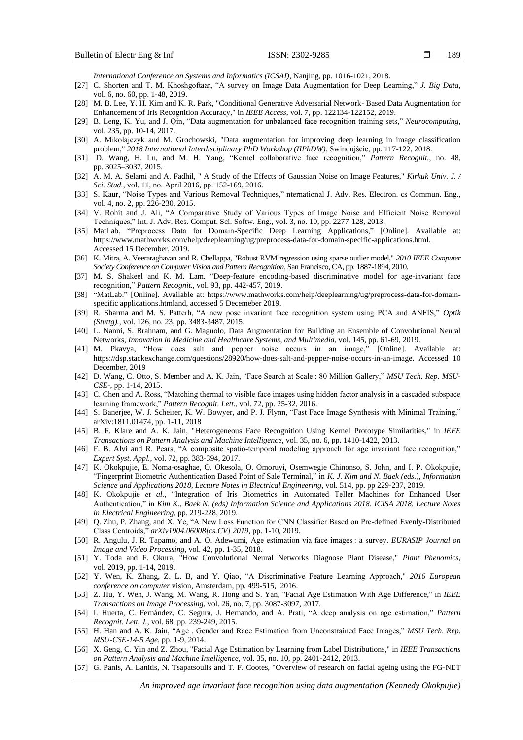*International Conference on Systems and Informatics (ICSAI)*, Nanjing, pp. 1016-1021, 2018.

- [27] C. Shorten and T. M. Khoshgoftaar, "A survey on Image Data Augmentation for Deep Learning," *J. Big Data*, vol. 6, no. 60, pp. 1-48, 2019.
- [28] M. B. Lee, Y. H. Kim and K. R. Park, "Conditional Generative Adversarial Network- Based Data Augmentation for Enhancement of Iris Recognition Accuracy," in *IEEE Access*, vol. 7, pp. 122134-122152, 2019.
- [29] B. Leng, K. Yu, and J. Qin, "Data augmentation for unbalanced face recognition training sets," *Neurocomputing*, vol. 235, pp. 10-14, 2017.
- [30] A. Mikołajczyk and M. Grochowski, "Data augmentation for improving deep learning in image classification problem," *2018 International Interdisciplinary PhD Workshop (IIPhDW)*, Swinoujście, pp. 117-122, 2018.
- [31] D. Wang, H. Lu, and M. H. Yang, "Kernel collaborative face recognition," *Pattern Recognit.*, no. 48, pp. 3025–3037, 2015.
- [32] A. M. A. Selami and A. Fadhil, " A Study of the Effects of Gaussian Noise on Image Features," *Kirkuk Univ. J. / Sci. Stud.*, vol. 11, no. April 2016, pp. 152-169, 2016.
- [33] S. Kaur, "Noise Types and Various Removal Techniques," nternational J. Adv. Res. Electron. cs Commun. Eng., vol. 4, no. 2, pp. 226-230, 2015.
- [34] V. Rohit and J. Ali, "A Comparative Study of Various Types of Image Noise and Efficient Noise Removal Techniques," Int. J. Adv. Res. Comput. Sci. Softw. Eng., vol. 3, no. 10, pp. 2277-128, 2013.
- [35] MatLab, "Preprocess Data for Domain-Specific Deep Learning Applications," [Online]. Available at: https://www.mathworks.com/help/deeplearning/ug/preprocess-data-for-domain-specific-applications.html. Accessed 15 December, 2019.
- [36] K. Mitra, A. Veeraraghavan and R. Chellappa, "Robust RVM regression using sparse outlier model," *2010 IEEE Computer Society Conference on Computer Vision and Pattern Recognition*, San Francisco, CA, pp. 1887-1894, 2010.
- [37] M. S. Shakeel and K. M. Lam, "Deep-feature encoding-based discriminative model for age-invariant face recognition," *Pattern Recognit.*, vol. 93, pp. 442-457, 2019.
- [38] "MatLab." [Online]. Available at: https://www.mathworks.com/help/deeplearning/ug/preprocess-data-for-domainspecific applications.htmland, accessed 5 Decemeber 2019.
- [39] R. Sharma and M. S. Patterh, "A new pose invariant face recognition system using PCA and ANFIS," *Optik (Stuttg).*, vol. 126, no. 23, pp. 3483-3487, 2015.
- [40] L. Nanni, S. Brahnam, and G. Maguolo, Data Augmentation for Building an Ensemble of Convolutional Neural Networks, *Innovation in Medicine and Healthcare Systems, and Multimedia*, vol. 145, pp. 61-69, 2019.
- [41] M. Pkavya, "How does salt and pepper noise occurs in an image," [Online]. Available at: https://dsp.stackexchange.com/questions/28920/how-does-salt-and-pepper-noise-occurs-in-an-image. Accessed 10 December, 2019
- [42] D. Wang, C. Otto, S. Member and A. K. Jain, "Face Search at Scale : 80 Million Gallery," *MSU Tech. Rep. MSU-CSE-*, pp. 1-14, 2015.
- [43] C. Chen and A. Ross, "Matching thermal to visible face images using hidden factor analysis in a cascaded subspace learning framework," *Pattern Recognit. Lett.*, vol. 72, pp. 25-32, 2016.
- [44] S. Banerjee, W. J. Scheirer, K. W. Bowyer, and P. J. Flynn, "Fast Face Image Synthesis with Minimal Training," arXiv:1811.01474, pp. 1-11, 2018
- [45] B. F. Klare and A. K. Jain, "Heterogeneous Face Recognition Using Kernel Prototype Similarities," in *IEEE Transactions on Pattern Analysis and Machine Intelligence*, vol. 35, no. 6, pp. 1410-1422, 2013.
- [46] F. B. Alvi and R. Pears, "A composite spatio-temporal modeling approach for age invariant face recognition," *Expert Syst. Appl.*, vol. 72, pp. 383-394, 2017.
- [47] K. Okokpujie, E. Noma-osaghae, O. Okesola, O. Omoruyi, Osemwegie Chinonso, S. John, and I. P. Okokpujie, "Fingerprint Biometric Authentication Based Point of Sale Terminal," in *K. J. Kim and N. Baek (eds.), Information Science and Applications 2018, Lecture Notes in Electrical Engineering*, vol. 514, pp. pp 229-237, 2019.
- [48] K. Okokpujie *et al.*, "Integration of Iris Biometrics in Automated Teller Machines for Enhanced User Authentication," in *Kim K., Baek N. (eds) Information Science and Applications 2018. ICISA 2018. Lecture Notes in Electrical Engineering*, pp. 219-228, 2019.
- [49] Q. Zhu, P. Zhang, and X. Ye, "A New Loss Function for CNN Classifier Based on Pre-defined Evenly-Distributed Class Centroids," *arXiv1904.06008[cs.CV] 2019*, pp. 1-10, 2019.
- [50] R. Angulu, J. R. Tapamo, and A. O. Adewumi, Age estimation via face images : a survey. *EURASIP Journal on Image and Video Processing*, vol. 42, pp. 1-35, 2018.
- [51] Y. Toda and F. Okura, "How Convolutional Neural Networks Diagnose Plant Disease," *Plant Phenomics*, vol. 2019, pp. 1-14, 2019.
- [52] Y. Wen, K. Zhang, Z. L. B, and Y. Qiao, "A Discriminative Feature Learning Approach," *2016 European conference on computer* vision, Amsterdam, pp. 499-515, 2016.
- [53] Z. Hu, Y. Wen, J. Wang, M. Wang, R. Hong and S. Yan, "Facial Age Estimation With Age Difference," in *IEEE Transactions on Image Processing*, vol. 26, no. 7, pp. 3087-3097, 2017.
- [54] I. Huerta, C. Fernández, C. Segura, J. Hernando, and A. Prati, "A deep analysis on age estimation," *Pattern Recognit. Lett. J.*, vol. 68, pp. 239-249, 2015.
- [55] H. Han and A. K. Jain, "Age , Gender and Race Estimation from Unconstrained Face Images," *MSU Tech. Rep. MSU-CSE-14-5 Age,* pp. 1-9, 2014.
- [56] X. Geng, C. Yin and Z. Zhou, "Facial Age Estimation by Learning from Label Distributions," in *IEEE Transactions on Pattern Analysis and Machine Intelligence*, vol. 35, no. 10, pp. 2401-2412, 2013.
- [57] G. Panis, A. Lanitis, N. Tsapatsoulis and T. F. Cootes, "Overview of research on facial ageing using the FG-NET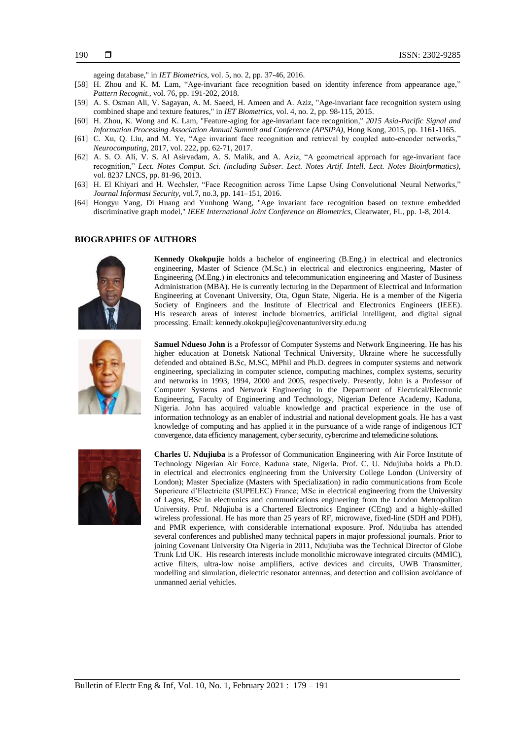ageing database," in *IET Biometrics*, vol. 5, no. 2, pp. 37-46, 2016.

- [58] H. Zhou and K. M. Lam, "Age-invariant face recognition based on identity inference from appearance age," *Pattern Recognit.*, vol. 76, pp. 191-202, 2018.
- [59] A. S. Osman Ali, V. Sagayan, A. M. Saeed, H. Ameen and A. Aziz, "Age-invariant face recognition system using combined shape and texture features," in *IET Biometrics*, vol. 4, no. 2, pp. 98-115, 2015.
- [60] H. Zhou, K. Wong and K. Lam, "Feature-aging for age-invariant face recognition," *2015 Asia-Pacific Signal and Information Processing Association Annual Summit and Conference (APSIPA)*, Hong Kong, 2015, pp. 1161-1165.
- [61] C. Xu, Q. Liu, and M. Ye, "Age invariant face recognition and retrieval by coupled auto-encoder networks," *Neurocomputing*, 2017, vol. 222, pp. 62-71, 2017.
- [62] A. S. O. Ali, V. S. Al Asirvadam, A. S. Malik, and A. Aziz, "A geometrical approach for age-invariant face recognition," *Lect. Notes Comput. Sci. (including Subser. Lect. Notes Artif. Intell. Lect. Notes Bioinformatics)*, vol. 8237 LNCS, pp. 81-96, 2013.
- [63] H. El Khiyari and H. Wechsler, "Face Recognition across Time Lapse Using Convolutional Neural Networks," *Journal Informasi Security*, vol.7, no.3, pp. 141–151, 2016.
- [64] Hongyu Yang, Di Huang and Yunhong Wang, "Age invariant face recognition based on texture embedded discriminative graph model," *IEEE International Joint Conference on Biometrics*, Clearwater, FL, pp. 1-8, 2014.

## **BIOGRAPHIES OF AUTHORS**



**Kennedy Okokpujie** holds a bachelor of engineering (B.Eng.) in electrical and electronics engineering, Master of Science (M.Sc.) in electrical and electronics engineering, Master of Engineering (M.Eng.) in electronics and telecommunication engineering and Master of Business Administration (MBA). He is currently lecturing in the Department of Electrical and Information Engineering at Covenant University, Ota, Ogun State, Nigeria. He is a member of the Nigeria Society of Engineers and the Institute of Electrical and Electronics Engineers (IEEE). His research areas of interest include biometrics, artificial intelligent, and digital signal processing. Email: kennedy.okokpujie@covenantuniversity.edu.ng

$$
\left(\begin{array}{c} \mathbf{p}_1 \\ \mathbf{p}_2 \\ \mathbf{p}_3 \end{array}\right)
$$

**Samuel Ndueso John** is a Professor of Computer Systems and Network Engineering. He has his higher education at Donetsk National Technical University, Ukraine where he successfully defended and obtained B.Sc, M.SC, MPhil and Ph.D. degrees in computer systems and network engineering, specializing in computer science, computing machines, complex systems, security and networks in 1993, 1994, 2000 and 2005, respectively. Presently, John is a Professor of Computer Systems and Network Engineering in the Department of Electrical/Electronic Engineering, Faculty of Engineering and Technology, Nigerian Defence Academy, Kaduna, Nigeria. John has acquired valuable knowledge and practical experience in the use of information technology as an enabler of industrial and national development goals. He has a vast knowledge of computing and has applied it in the pursuance of a wide range of indigenous ICT convergence, data efficiency management, cyber security, cybercrime and telemedicine solutions.



**Charles U. Ndujiuba** is a Professor of Communication Engineering with Air Force Institute of Technology Nigerian Air Force, Kaduna state, Nigeria. Prof. C. U. Ndujiuba holds a Ph.D. in electrical and electronics engineering from the University College London (University of London); Master Specialize (Masters with Specialization) in radio communications from Ecole Superieure d'Electricite (SUPELEC) France; MSc in electrical engineering from the University of Lagos, BSc in electronics and communications engineering from the London Metropolitan University. Prof. Ndujiuba is a Chartered Electronics Engineer (CEng) and a highly-skilled wireless professional. He has more than 25 years of RF, microwave, fixed-line (SDH and PDH), and PMR experience, with considerable international exposure. Prof. Ndujiuba has attended several conferences and published many technical papers in major professional journals. Prior to joining Covenant University Ota Nigeria in 2011, Ndujiuba was the Technical Director of Globe Trunk Ltd UK. His research interests include monolithic microwave integrated circuits (MMIC), active filters, ultra-low noise amplifiers, active devices and circuits, UWB Transmitter, modelling and simulation, dielectric resonator antennas, and detection and collision avoidance of unmanned aerial vehicles.